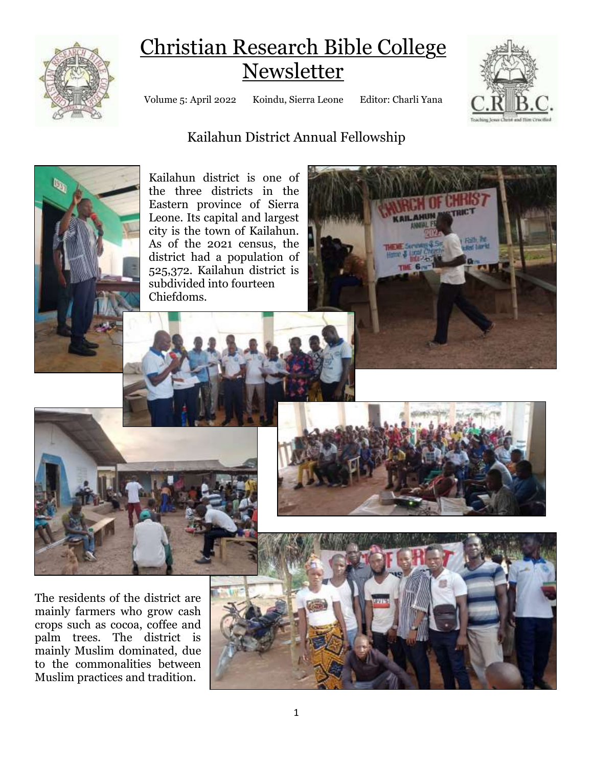

# Christian Research Bible College Newsletter

Volume 5: April 2022 Koindu, Sierra Leone Editor: Charli Yana



# Kailahun District Annual Fellowship



Kailahun district is one of the three districts in the Eastern province of Sierra Leone. Its capital and largest city is the town of Kailahun. As of the 2021 census, the district had a population of 525,372. Kailahun district is subdivided into fourteen Chiefdoms.





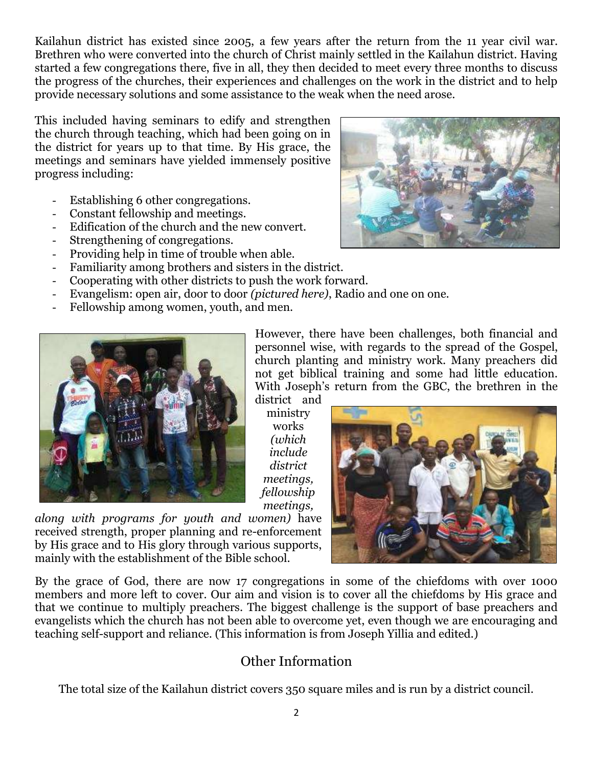Kailahun district has existed since 2005, a few years after the return from the 11 year civil war. Brethren who were converted into the church of Christ mainly settled in the Kailahun district. Having started a few congregations there, five in all, they then decided to meet every three months to discuss the progress of the churches, their experiences and challenges on the work in the district and to help provide necessary solutions and some assistance to the weak when the need arose.

This included having seminars to edify and strengthen the church through teaching, which had been going on in the district for years up to that time. By His grace, the meetings and seminars have yielded immensely positive progress including:

- Establishing 6 other congregations.
- Constant fellowship and meetings.
- Edification of the church and the new convert.
- Strengthening of congregations.
- Providing help in time of trouble when able.
- Familiarity among brothers and sisters in the district.
- Cooperating with other districts to push the work forward.
- Evangelism: open air, door to door *(pictured here)*, Radio and one on one.
- Fellowship among women, youth, and men.



*along with programs for youth and women)* have received strength, proper planning and re-enforcement by His grace and to His glory through various supports, mainly with the establishment of the Bible school.

However, there have been challenges, both financial and personnel wise, with regards to the spread of the Gospel, church planting and ministry work. Many preachers did not get biblical training and some had little education. With Joseph's return from the GBC, the brethren in the district and

ministry works *(which include district meetings, fellowship meetings,* 



By the grace of God, there are now 17 congregations in some of the chiefdoms with over 1000 members and more left to cover. Our aim and vision is to cover all the chiefdoms by His grace and that we continue to multiply preachers. The biggest challenge is the support of base preachers and evangelists which the church has not been able to overcome yet, even though we are encouraging and teaching self-support and reliance. (This information is from Joseph Yillia and edited.)

#### Other Information

The total size of the Kailahun district covers 350 square miles and is run by a district council.

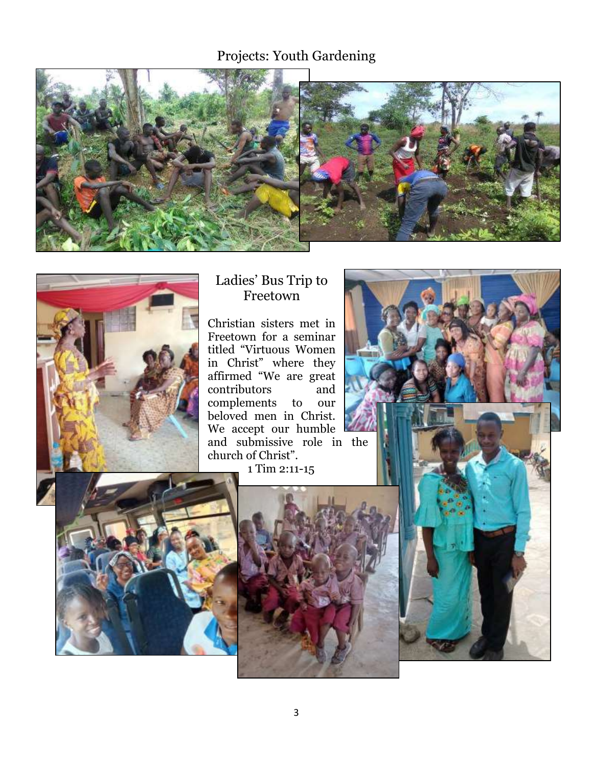## Projects: Youth Gardening





#### Ladies' Bus Trip to Freetown

Christian sisters met in Freetown for a seminar titled "Virtuous Women in Christ" where they affirmed "We are great contributors and complements to our beloved men in Christ. We accept our humble l and submissive role in the church of Christ".

1 Tim 2:11-15





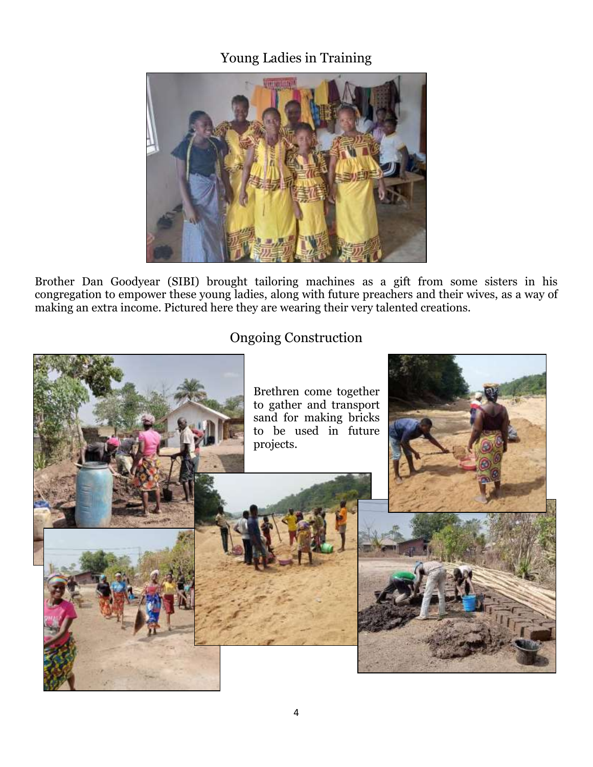## Young Ladies in Training



Brother Dan Goodyear (SIBI) brought tailoring machines as a gift from some sisters in his congregation to empower these young ladies, along with future preachers and their wives, as a way of making an extra income. Pictured here they are wearing their very talented creations.

### Ongoing Construction



4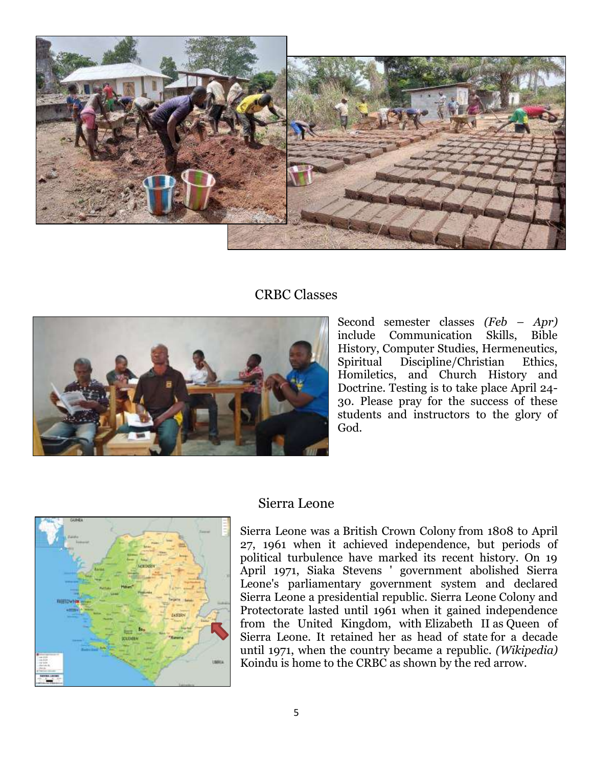

#### CRBC Classes



Second semester classes *(Feb – Apr)*  include Communication Skills, Bible History, Computer Studies, Hermeneutics, Spiritual Discipline/Christian Ethics, Homiletics, and Church History and Doctrine. Testing is to take place April 24- 30. Please pray for the success of these students and instructors to the glory of God.



#### Sierra Leone

Sierra Leone was a British Crown Colony from 1808 to April 27, 1961 when it achieved independence, but periods of political turbulence have marked its recent history. On 19 April 1971, Siaka Stevens ' government abolished Sierra Leone's parliamentary government system and declared Sierra Leone a presidential republic. Sierra Leone Colony and Protectorate lasted until 1961 when it gained independence from the United Kingdom, with [Elizabeth II](https://en.wikipedia.org/wiki/Elizabeth_II) as [Queen of](https://en.wikipedia.org/wiki/Queen_of_Sierra_Leone)  [Sierra Leone.](https://en.wikipedia.org/wiki/Queen_of_Sierra_Leone) It retained her as head of state [for a decade](https://en.wikipedia.org/wiki/Sierra_Leone_(1961%E2%80%931971))  [until 1971,](https://en.wikipedia.org/wiki/Sierra_Leone_(1961%E2%80%931971)) when the country became a republic. *(Wikipedia)* Koindu is home to the CRBC as shown by the red arrow.